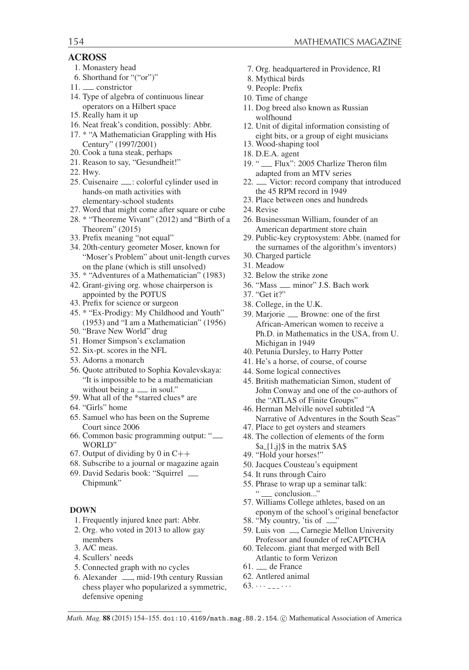## **ACROSS**

- 1. Monastery head
- 6. Shorthand for "("or")"
- 11. constrictor
- 14. Type of algebra of continuous linear operators on a Hilbert space
- 15. Really ham it up
- 16. Neat freak's condition, possibly: Abbr.
- 17. \* "A Mathematician Grappling with His Century" (1997/2001)
- 20. Cook a tuna steak, perhaps
- 21. Reason to say, "Gesundheit!"
- 22. Hwy.
- 25. Cuisenaire ......... colorful cylinder used in hands-on math activities with elementary-school students
- 27. Word that might come after square or cube
- 28. \* "Theoreme Vivant" (2012) and "Birth of a Theorem" (2015)
- 33. Prefix meaning "not equal"
- 34. 20th-century geometer Moser, known for "Moser's Problem" about unit-length curves on the plane (which is still unsolved)
- 35. \* "Adventures of a Mathematician" (1983)
- 42. Grant-giving org. whose chairperson is appointed by the POTUS
- 43. Prefix for science or surgeon
- 45. \* "Ex-Prodigy: My Childhood and Youth" (1953) and "I am a Mathematician" (1956)
- 50. "Brave New World" drug
- 51. Homer Simpson's exclamation
- 52. Six-pt. scores in the NFL
- 53. Adorns a monarch
- 56. Quote attributed to Sophia Kovalevskaya: "It is impossible to be a mathematician without being a <sub>---</sub> in soul."
- 59. What all of the \*starred clues\* are
- 64. "Girls" home
- 65. Samuel who has been on the Supreme Court since 2006
- 66. Common basic programming output: " WORLD"
- 67. Output of dividing by 0 in  $C++$
- 68. Subscribe to a journal or magazine again
- 69. David Sedaris book: "Squirrel Chipmunk"

## **DOWN**

- 1. Frequently injured knee part: Abbr.
- 2. Org. who voted in 2013 to allow gay members
- 3. A/C meas.
- 4. Scullers' needs
- 5. Connected graph with no cycles
- 6. Alexander  $\frac{1}{2}$ , mid-19th century Russian chess player who popularized a symmetric, defensive opening
- 7. Org. headquartered in Providence, RI
- 8. Mythical birds
- 9. People: Prefix
- 10. Time of change
- 11. Dog breed also known as Russian wolfhound
- 12. Unit of digital information consisting of eight bits, or a group of eight musicians
- 13. Wood-shaping tool
- 18. D.E.A. agent
- 19. " Flux": 2005 Charlize Theron film adapted from an MTV series
- 22. Victor: record company that introduced the 45 RPM record in 1949
- 23. Place between ones and hundreds
- 24. Revise
- 26. Businessman William, founder of an American department store chain
- 29. Public-key cryptosystem: Abbr. (named for the surnames of the algorithm's inventors)
- 30. Charged particle
- 31. Meadow
- 32. Below the strike zone
- 36. "Mass \_\_ minor" J.S. Bach work
- 37. "Get it?"
- 38. College, in the U.K.
- 39. Marjorie \_\_ Browne: one of the first African-American women to receive a Ph.D. in Mathematics in the USA, from U. Michigan in 1949
- 40. Petunia Dursley, to Harry Potter
- 41. He's a horse, of course, of course
- 44. Some logical connectives
- 45. British mathematician Simon, student of John Conway and one of the co-authors of the "ATLAS of Finite Groups"
- 46. Herman Melville novel subtitled "A Narrative of Adventures in the South Seas"
- 47. Place to get oysters and steamers
- 48. The collection of elements of the form  $a_{1,i}$  \s in the matrix \$A\$
- 49. "Hold your horses!"
- 50. Jacques Cousteau's equipment
- 54. It runs through Cairo
- 55. Phrase to wrap up a seminar talk: " <u>conclusion...</u>"
- 57. Williams College athletes, based on an eponym of the school's original benefactor
- 58. "My country, 'tis of  $\overline{\phantom{a}}$ "
- 59. Luis von \_, Carnegie Mellon University Professor and founder of reCAPTCHA
- 60. Telecom. giant that merged with Bell Atlantic to form Verizon
- 61. de France
- 62. Antlered animal
- $63. \cdots$